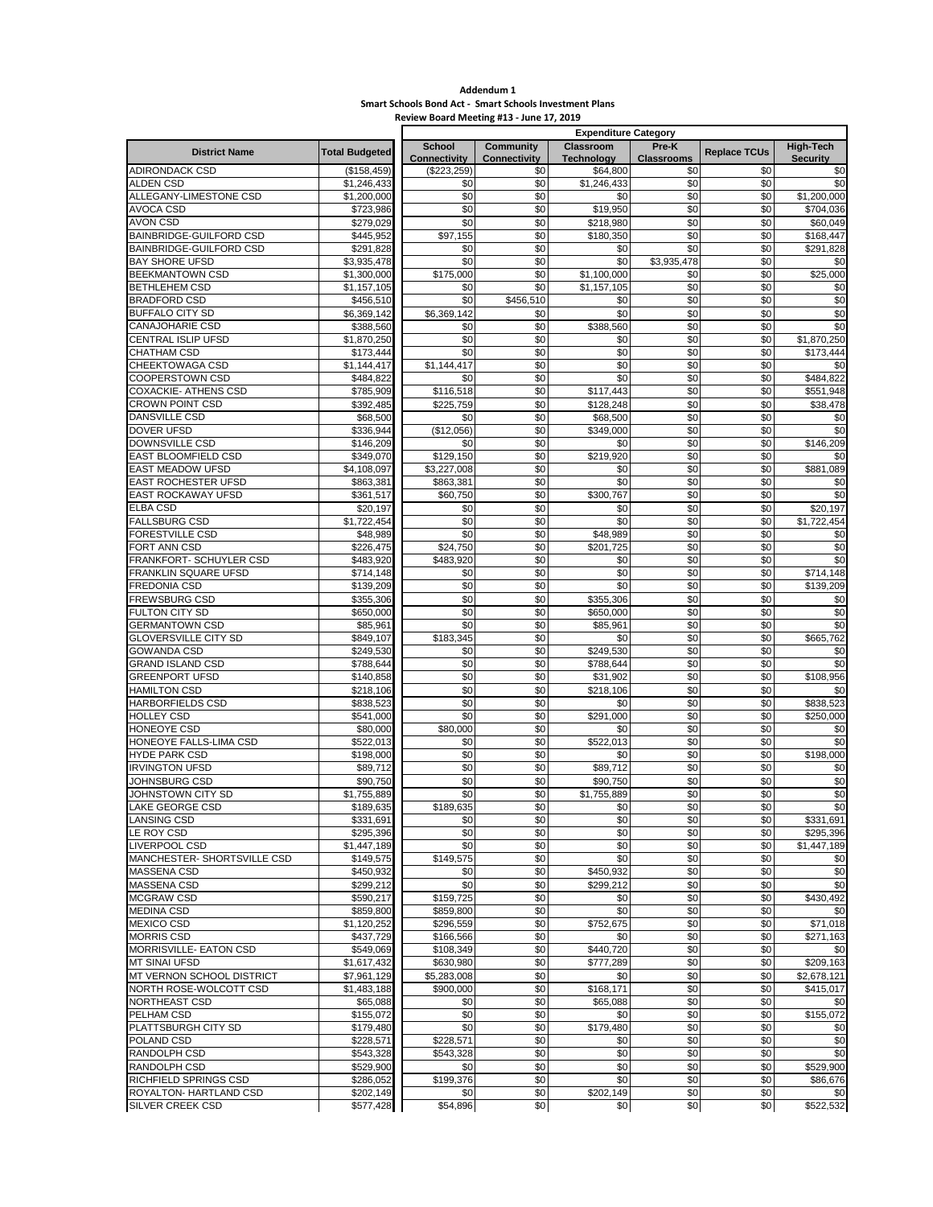## **Addendum 1 Smart Schools Bond Act - Smart Schools Investment Plans Review Board Meeting #13 - June 17, 2019**

|                                                 |                            | <b>Expenditure Category</b>        |                            |                               |                          |                     |                          |  |  |
|-------------------------------------------------|----------------------------|------------------------------------|----------------------------|-------------------------------|--------------------------|---------------------|--------------------------|--|--|
| <b>District Name</b>                            | <b>Total Budgeted</b>      | School                             | <b>Community</b>           | Classroom                     | Pre-K                    | <b>Replace TCUs</b> | High-Tech                |  |  |
| <b>ADIRONDACK CSD</b>                           | (\$158, 459)               | <b>Connectivity</b><br>(\$223,259) | <b>Connectivity</b><br>\$0 | <b>Technology</b><br>\$64,800 | <b>Classrooms</b><br>\$0 | \$0                 | <b>Security</b><br>\$0   |  |  |
| <b>ALDEN CSD</b>                                | \$1,246,433                | \$0                                | \$0                        | \$1,246,433                   | \$0                      | \$0                 | \$0                      |  |  |
| ALLEGANY-LIMESTONE CSD                          | \$1,200,000                | \$0                                | \$0                        | \$0                           | \$0                      | \$0                 | \$1,200,000              |  |  |
| <b>AVOCA CSD</b>                                | \$723,986                  | \$0                                | \$0                        | \$19,950                      | \$0                      | \$0                 | \$704,036                |  |  |
| <b>AVON CSD</b>                                 | \$279,029                  | \$0                                | \$0                        | \$218,980                     | \$0                      | \$0                 | \$60.049                 |  |  |
| BAINBRIDGE-GUILFORD CSD                         | \$445,952                  | \$97,155                           | \$0                        | \$180,350                     | \$0                      | \$0                 | \$168,447                |  |  |
| BAINBRIDGE-GUILFORD CSD                         | \$291,828                  | \$0                                | \$0                        | \$0                           | \$0                      | \$0                 | \$291,828                |  |  |
| <b>BAY SHORE UFSD</b>                           | \$3,935,478                | \$0                                | \$0                        | \$0                           | \$3,935,478              | \$0                 | \$0                      |  |  |
| BEEKMANTOWN CSD                                 | \$1,300,000                | \$175,000                          | \$0                        | \$1,100,000                   | \$0                      | \$0                 | \$25,000                 |  |  |
| <b>BETHLEHEM CSD</b>                            | \$1,157,105                | \$0                                | \$0                        | \$1,157,105                   | \$0                      | \$0                 | \$0                      |  |  |
| <b>BRADFORD CSD</b>                             | \$456,510                  | \$0                                | \$456,510                  | \$0                           | \$0                      | \$0                 | \$0                      |  |  |
| <b>BUFFALO CITY SD</b>                          | \$6,369,142                | \$6,369,142                        | \$0                        | \$0                           | \$0                      | \$0                 | \$0                      |  |  |
| <b>CANAJOHARIE CSD</b>                          | \$388,560                  | \$0                                | \$0                        | \$388,560                     | \$0                      | \$0                 | \$0                      |  |  |
| CENTRAL ISLIP UFSD<br>CHATHAM CSD               | \$1,870,250<br>\$173,444   | \$0<br>\$0                         | \$0<br>\$0                 | \$0<br>\$0                    | \$0<br>\$0               | \$0<br>\$0          | \$1,870,250<br>\$173,444 |  |  |
| CHEEKTOWAGA CSD                                 | $\overline{31}$ , 144, 417 | \$1,144,417                        | \$0                        | \$0                           | \$0                      | \$0                 | \$0                      |  |  |
| <b>COOPERSTOWN CSD</b>                          | \$484,822                  | \$0                                | \$0                        | \$0                           | \$0                      | \$0                 | \$484,822                |  |  |
| <b>COXACKIE- ATHENS CSD</b>                     | \$785,909                  | \$116,518                          | \$0                        | \$117,443                     | \$0                      | \$0                 | \$551,948                |  |  |
| <b>CROWN POINT CSD</b>                          | \$392,485                  | \$225,759                          | \$0                        | \$128,248                     | \$0                      | \$0                 | \$38,478                 |  |  |
| <b>DANSVILLE CSD</b>                            | \$68,500                   | \$0                                | \$0                        | \$68,500                      | \$0                      | \$0                 | \$0                      |  |  |
| DOVER UFSD                                      | \$336,944                  | (\$12,056)                         | \$0                        | \$349,000                     | \$0                      | \$0                 | \$0                      |  |  |
| <b>DOWNSVILLE CSD</b>                           | \$146,209                  | \$0                                | \$0                        | \$0                           | \$0                      | \$0                 | \$146,209                |  |  |
| EAST BLOOMFIELD CSD                             | \$349,070                  | \$129,150                          | \$0                        | \$219,920                     | \$0                      | \$0                 | \$0                      |  |  |
| <b>EAST MEADOW UFSD</b>                         | \$4,108,097                | \$3,227,008                        | \$0                        | \$0                           | \$0                      | \$0                 | \$881,089                |  |  |
| EAST ROCHESTER UFSD                             | \$863,381                  | \$863,381                          | \$0                        | \$0                           | \$0                      | \$0                 | \$0                      |  |  |
| <b>EAST ROCKAWAY UFSD</b>                       | \$361,517                  | \$60.750                           | \$0                        | \$300.767                     | \$0                      | \$0                 | \$0                      |  |  |
| <b>ELBA CSD</b>                                 | \$20,197                   | \$0                                | \$0                        | \$0                           | \$0                      | \$0                 | \$20,197                 |  |  |
| <b>FALLSBURG CSD</b>                            | \$1,722,454                | \$0                                | \$0                        | \$0                           | \$0                      | \$0                 | $\overline{\$1,722,454}$ |  |  |
| <b>FORESTVILLE CSD</b>                          | \$48,989                   | \$0                                | \$0                        | \$48,989                      | \$0                      | \$0                 | \$0                      |  |  |
| FORT ANN CSD                                    | \$226,475                  | \$24,750                           | \$0                        | \$201.725                     | \$0                      | \$0                 | \$0                      |  |  |
| FRANKFORT- SCHUYLER CSD<br>FRANKLIN SQUARE UFSD | \$483,920                  | \$483,920                          | \$0<br>\$0                 | \$0<br>\$0                    | \$0<br>\$0               | \$0<br>\$0          | \$0                      |  |  |
| <b>FREDONIA CSD</b>                             | \$714,148<br>\$139,209     | \$0<br>\$0                         | \$0                        | \$0                           | \$0                      | \$0                 | \$714,148<br>\$139,209   |  |  |
| <b>FREWSBURG CSD</b>                            | \$355,306                  | \$0                                | \$0                        | \$355,306                     | \$0                      | \$0                 | \$0                      |  |  |
| FULTON CITY SD                                  | \$650,000                  | \$0                                | \$0                        | \$650,000                     | \$0                      | \$0                 | \$0                      |  |  |
| <b>GERMANTOWN CSD</b>                           | \$85,961                   | \$0                                | \$0                        | \$85,961                      | \$0                      | \$0                 | \$0                      |  |  |
| <b>GLOVERSVILLE CITY SD</b>                     | \$849,107                  | \$183,345                          | \$0                        | \$0                           | \$0                      | \$0                 | \$665,762                |  |  |
| <b>GOWANDA CSD</b>                              | \$249,530                  | \$0                                | \$0                        | \$249,530                     | \$0                      | \$0                 | \$0                      |  |  |
| <b>GRAND ISLAND CSD</b>                         | \$788,644                  | \$0                                | \$0                        | \$788,644                     | \$0                      | \$0                 | \$0                      |  |  |
| <b>GREENPORT UFSD</b>                           | \$140,858                  | \$0                                | \$0                        | \$31,902                      | \$0                      | \$0                 | \$108,956                |  |  |
| <b>HAMILTON CSD</b>                             | \$218,106                  | \$0                                | \$0                        | \$218,106                     | \$0                      | \$0                 | \$0                      |  |  |
| HARBORFIELDS CSD                                | \$838,523                  | \$0                                | \$0                        | \$0                           | \$0                      | \$0                 | \$838,523                |  |  |
| <b>HOLLEY CSD</b>                               | \$541,000                  | \$0                                | \$0                        | \$291,000                     | \$0                      | \$0                 | \$250,000                |  |  |
| HONEOYE CSD                                     | \$80,000                   | \$80,000                           | \$0                        | \$0                           | \$0                      | \$0                 | \$0                      |  |  |
| HONEOYE FALLS-LIMA CSD                          | \$522,013                  | \$0                                | \$0                        | \$522,013                     | \$0                      | \$0                 | \$0                      |  |  |
| <b>HYDE PARK CSD</b><br><b>IRVINGTON UFSD</b>   | \$198,000<br>\$89,712      | \$0<br>\$0                         | \$0<br>\$0                 | \$0<br>\$89,712               | \$0<br>\$0               | \$0<br>\$0          | \$198,000<br>\$0         |  |  |
| JOHNSBURG CSD                                   | \$90,750                   | \$0                                | \$0                        | \$90,750                      | \$0                      | \$0                 | \$0                      |  |  |
| JOHNSTOWN CITY SD                               | \$1,755,889                | \$0                                | \$0                        | \$1,755,889                   | \$0                      | \$0                 | \$0                      |  |  |
| <b>LAKE GEORGE CSD</b>                          | \$189,635                  | \$189,635                          | \$0                        | \$0                           | \$0                      | \$0                 | \$0                      |  |  |
| <b>LANSING CSD</b>                              | \$331,691                  | \$0                                | \$0                        | \$0                           | \$0                      | \$0                 | \$331,691                |  |  |
| LE ROY CSD                                      | \$295,396                  | \$0                                | \$0                        | \$0                           | \$0                      | \$0                 | \$295,396                |  |  |
| <b>LIVERPOOL CSD</b>                            | \$1,447,189                | \$0                                | \$0                        | \$0                           | \$0                      | \$0                 | \$1,447,189              |  |  |
| MANCHESTER- SHORTSVILLE CSD                     | \$149,575                  | \$149,575                          | \$0                        | \$0                           | \$0                      | \$0                 | \$0                      |  |  |
| <b>MASSENA CSD</b>                              | \$450,932                  | \$0                                | \$0                        | \$450,932                     | \$0                      | \$0                 | \$0                      |  |  |
| <b>MASSENA CSD</b>                              | \$299,212                  | \$0                                | \$0                        | \$299,212                     | \$0                      | \$0                 | \$0                      |  |  |
| <b>MCGRAW CSD</b>                               | \$590,217                  | \$159,725                          | \$0                        | \$0                           | \$0                      | \$0                 | \$430,492                |  |  |
| <b>MEDINA CSD</b>                               | \$859,800                  | \$859,800                          | \$0                        | \$0                           | \$0                      | \$0                 | \$0                      |  |  |
| <b>MEXICO CSD</b>                               | \$1,120,252                | \$296,559                          | \$0                        | \$752,675                     | \$0                      | \$0                 | \$71,018                 |  |  |
| MORRIS CSD                                      | \$437,729                  | \$166,566                          | \$0                        | \$0                           | \$0                      | \$0                 | \$271,163                |  |  |
| MORRISVILLE- EATON CSD<br><b>MT SINAI UFSD</b>  | \$549,069                  | \$108,349                          | \$0                        | \$440,720                     | \$0                      | \$0                 | \$0                      |  |  |
| MT VERNON SCHOOL DISTRICT                       | \$1,617,432<br>\$7,961,129 | \$630,980<br>\$5,283,008           | \$0<br>\$0                 | \$777,289<br>\$0              | \$0<br>\$0               | \$0<br>\$0          | \$209,163<br>\$2,678,121 |  |  |
| NORTH ROSE-WOLCOTT CSD                          | \$1,483,188                | \$900,000                          | \$0                        | \$168,171                     | \$0                      | \$0                 | \$415,017                |  |  |
| NORTHEAST CSD                                   | \$65,088                   | \$0                                | \$0                        | \$65,088                      | \$0                      | \$0                 | \$0                      |  |  |
| PELHAM CSD                                      | \$155,072                  | \$0                                | \$0                        | \$0                           | \$0                      | \$0                 | \$155,072                |  |  |
| PLATTSBURGH CITY SD                             | \$179,480                  | \$0                                | \$0                        | \$179,480                     | \$0                      | \$0                 | \$0                      |  |  |
| POLAND CSD                                      | \$228,571                  | \$228,571                          | \$0                        | \$0                           | \$0                      | \$0                 | \$0                      |  |  |
| RANDOLPH CSD                                    | \$543,328                  | \$543,328                          | \$0                        | \$0                           | \$0                      | \$0                 | \$0                      |  |  |
| RANDOLPH CSD                                    | \$529,900                  | \$0                                | \$0                        | \$0                           | \$0                      | \$0                 | \$529,900                |  |  |
| RICHFIELD SPRINGS CSD                           | \$286,052                  | \$199,376                          | \$0                        | \$0                           | \$0                      | \$0                 | \$86,676                 |  |  |
| ROYALTON- HARTLAND CSD                          | \$202,149                  | \$0                                | \$0                        | \$202,149                     | \$0                      | \$0                 | \$0                      |  |  |
| SILVER CREEK CSD                                | \$577,428                  | \$54,896                           | \$0                        | \$0                           | \$0                      | \$0                 | \$522,532                |  |  |